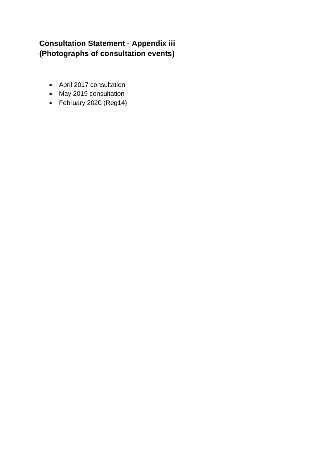## **Consultation Statement - Appendix iii (Photographs of consultation events)**

- April 2017 consultation
- May 2019 consultation
- February 2020 (Reg14)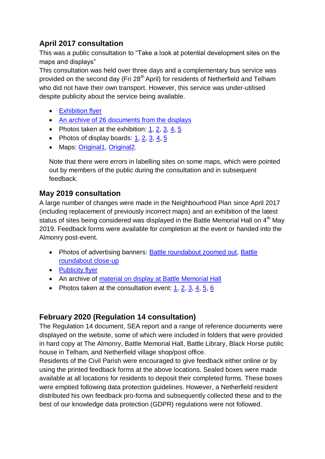## **April 2017 consultation**

This was a public consultation to "Take a look at potential development sites on the maps and displays"

This consultation was held over three days and a complementary bus service was provided on the second day (Fri 28<sup>th</sup> April) for residents of Netherfield and Telham who did not have their own transport. However, this service was under-utilised despite publicity about the service being available.

- **•** [Exhibition flyer](http://battleneighbourhoodplan.co.uk/wp-content/uploads/2018/02/Battle-NP-Exhibition-Flyer-Email.pdf)
- [An archive of 26 documents from the displays](http://battleneighbourhoodplan.co.uk/wp-content/uploads/2020/07/April2017_26documents.zip)
- Photos taken at the exhibition: [1,](http://battleneighbourhoodplan.co.uk/wp-content/uploads/2020/07/April2017bm1.jpg) [2,](http://battleneighbourhoodplan.co.uk/wp-content/uploads/2020/07/April2017bm2.jpg) [3,](http://battleneighbourhoodplan.co.uk/wp-content/uploads/2020/07/April2017bm3.jpg) [4,](http://battleneighbourhoodplan.co.uk/wp-content/uploads/2020/07/April2017bm4.jpg) [5](http://battleneighbourhoodplan.co.uk/wp-content/uploads/2020/07/April2017bm5.jpg)
- Photos of display boards:  $1, 2, 3, 4, 5$  $1, 2, 3, 4, 5$  $1, 2, 3, 4, 5$  $1, 2, 3, 4, 5$  $1, 2, 3, 4, 5$
- Maps: [Original1,](http://battleneighbourhoodplan.co.uk/wp-content/uploads/2020/07/April2017Display-map_Original_1-scaled.jpg) [Original2.](http://battleneighbourhoodplan.co.uk/wp-content/uploads/2020/07/April2017Display-map_Original_2-scaled.jpg)

Note that there were errors in labelling sites on some maps, which were pointed out by members of the public during the consultation and in subsequent feedback.

## **May 2019 consultation**

A large number of changes were made in the Neighbourhood Plan since April 2017 (including replacement of previously incorrect maps) and an exhibition of the latest status of sites being considered was displayed in the Battle Memorial Hall on 4<sup>th</sup> May 2019. Feedback forms were available for completion at the event or handed into the Almonry post-event.

- Photos of advertising banners: **Battle roundabout zoomed out, Battle** [roundabout close-up](http://battleneighbourhoodplan.co.uk/wp-content/uploads/2020/07/April2019_BannerPhotoRoundaboutCloseup-scaled.jpg)
- [Publicity flyer](http://battleneighbourhoodplan.co.uk/wp-content/uploads/2020/07/2019-consultation-leaflet-scaled.jpg)
- An archive of [material on display at Battle Memorial Hall](http://battleneighbourhoodplan.co.uk/wp-content/uploads/2020/01/BCPNP_final_display_boards_V1.1_05022019_with-Netherfield-priority_amended-title-page-referring-to-later-document.pdf)
- Photos taken at the consultation event:  $1, 2, 3, 4, 5, 6$  $1, 2, 3, 4, 5, 6$  $1, 2, 3, 4, 5, 6$  $1, 2, 3, 4, 5, 6$  $1, 2, 3, 4, 5, 6$  $1, 2, 3, 4, 5, 6$

## **February 2020 (Regulation 14 consultation)**

The Regulation 14 document, SEA report and a range of reference documents were displayed on the website, some of which were included in folders that were provided in hard copy at The Almonry, Battle Memorial Hall, Battle Library, Black Horse public house in Telham, and Netherfield village shop/post office.

Residents of the Civil Parish were encouraged to give feedback either online or by using the printed feedback forms at the above locations. Sealed boxes were made available at all locations for residents to deposit their completed forms. These boxes were emptied following data protection guidelines. However, a Netherfield resident distributed his own feedback pro-forma and subsequently collected these and to the best of our knowledge data protection (GDPR) regulations were not followed.